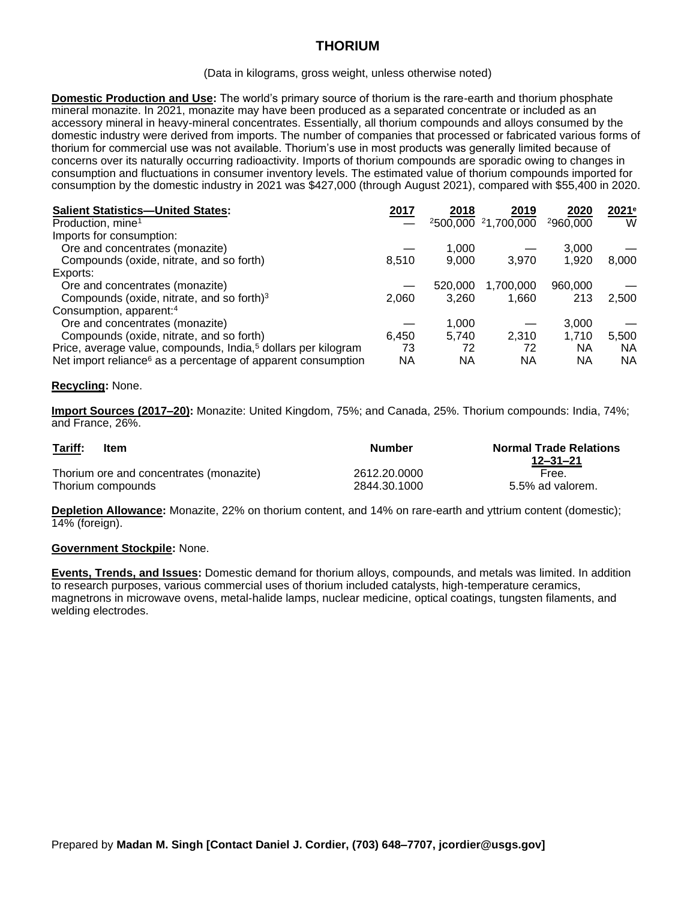# **THORIUM**

#### (Data in kilograms, gross weight, unless otherwise noted)

**Domestic Production and Use:** The world's primary source of thorium is the rare-earth and thorium phosphate mineral monazite. In 2021, monazite may have been produced as a separated concentrate or included as an accessory mineral in heavy-mineral concentrates. Essentially, all thorium compounds and alloys consumed by the domestic industry were derived from imports. The number of companies that processed or fabricated various forms of thorium for commercial use was not available. Thorium's use in most products was generally limited because of concerns over its naturally occurring radioactivity. Imports of thorium compounds are sporadic owing to changes in consumption and fluctuations in consumer inventory levels. The estimated value of thorium compounds imported for consumption by the domestic industry in 2021 was \$427,000 (through August 2021), compared with \$55,400 in 2020.

| <b>Salient Statistics-United States:</b>                                  | 2017  | 2018      | <u> 2019</u>                                | 2020     | 2021e |
|---------------------------------------------------------------------------|-------|-----------|---------------------------------------------|----------|-------|
| Production, mine <sup>1</sup>                                             |       |           | <sup>2</sup> 500,000 <sup>2</sup> 1,700,000 | 2960,000 | W     |
| Imports for consumption:                                                  |       |           |                                             |          |       |
| Ore and concentrates (monazite)                                           |       | 1,000     |                                             | 3,000    |       |
| Compounds (oxide, nitrate, and so forth)                                  | 8.510 | 9,000     | 3.970                                       | 1,920    | 8,000 |
| Exports:                                                                  |       |           |                                             |          |       |
| Ore and concentrates (monazite)                                           |       | 520,000   | 1,700,000                                   | 960,000  |       |
| Compounds (oxide, nitrate, and so forth) <sup>3</sup>                     | 2,060 | 3,260     | 1,660                                       | 213      | 2,500 |
| Consumption, apparent: <sup>4</sup>                                       |       |           |                                             |          |       |
| Ore and concentrates (monazite)                                           |       | 1,000     |                                             | 3,000    |       |
| Compounds (oxide, nitrate, and so forth)                                  | 6.450 | 5,740     | 2,310                                       | 1.710    | 5,500 |
| Price, average value, compounds, India, <sup>5</sup> dollars per kilogram | 73    | 72        | 72                                          | NA       | NA    |
| Net import reliance <sup>6</sup> as a percentage of apparent consumption  | ΝA    | <b>NA</b> | ΝA                                          | ΝA       | ΝA    |

### **Recycling:** None.

**Import Sources (2017–20):** Monazite: United Kingdom, 75%; and Canada, 25%. Thorium compounds: India, 74%; and France, 26%.

| Tariff: | Item                                    | <b>Number</b> | <b>Normal Trade Relations</b><br>12–31–21 |
|---------|-----------------------------------------|---------------|-------------------------------------------|
|         | Thorium ore and concentrates (monazite) | 2612.20.0000  | Free.                                     |
|         | Thorium compounds                       | 2844.30.1000  | 5.5% ad valorem.                          |

**Depletion Allowance:** Monazite, 22% on thorium content, and 14% on rare-earth and yttrium content (domestic); 14% (foreign).

### **Government Stockpile:** None.

**Events, Trends, and Issues:** Domestic demand for thorium alloys, compounds, and metals was limited. In addition to research purposes, various commercial uses of thorium included catalysts, high-temperature ceramics, magnetrons in microwave ovens, metal-halide lamps, nuclear medicine, optical coatings, tungsten filaments, and welding electrodes.